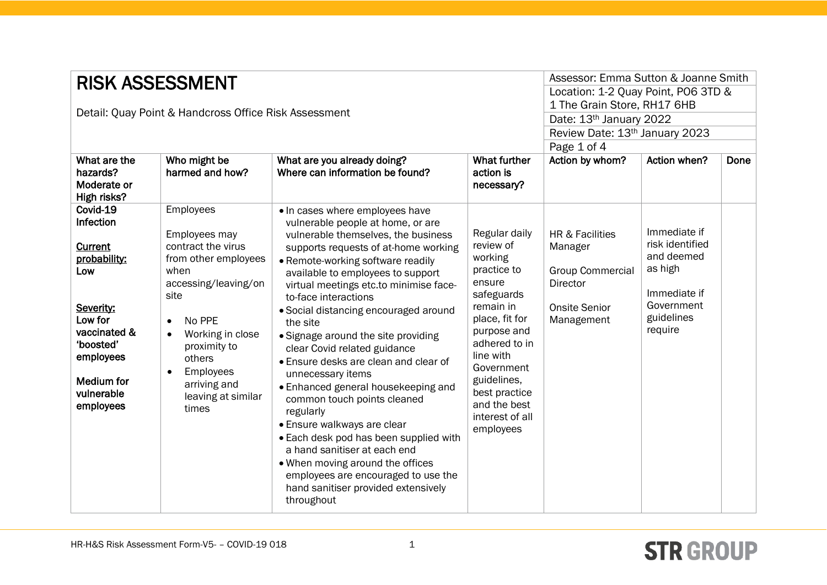| <b>RISK ASSESSMENT</b><br>Detail: Quay Point & Handcross Office Risk Assessment<br>What are the<br>Who might be<br><b>What further</b><br>What are you already doing?<br>hazards?<br>harmed and how?<br>Where can information be found?<br>action is<br>Moderate or<br>necessary?<br>High risks? |                                                                                                                                                                                                                                                                             |                                                                                                                                                                                                                                                                                                                                                                                                                                                                                                                                                                                                                                                                                                                                                                                                                       |                                                                                                                                                                                                                                                        | Assessor: Emma Sutton & Joanne Smith<br>Location: 1-2 Quay Point, PO6 3TD &<br>1 The Grain Store, RH17 6HB<br>Date: 13th January 2022<br>Review Date: 13th January 2023<br>Page 1 of 4<br>Action by whom?<br>Action when?<br>Done |                                                                                                                 |  |
|--------------------------------------------------------------------------------------------------------------------------------------------------------------------------------------------------------------------------------------------------------------------------------------------------|-----------------------------------------------------------------------------------------------------------------------------------------------------------------------------------------------------------------------------------------------------------------------------|-----------------------------------------------------------------------------------------------------------------------------------------------------------------------------------------------------------------------------------------------------------------------------------------------------------------------------------------------------------------------------------------------------------------------------------------------------------------------------------------------------------------------------------------------------------------------------------------------------------------------------------------------------------------------------------------------------------------------------------------------------------------------------------------------------------------------|--------------------------------------------------------------------------------------------------------------------------------------------------------------------------------------------------------------------------------------------------------|-----------------------------------------------------------------------------------------------------------------------------------------------------------------------------------------------------------------------------------|-----------------------------------------------------------------------------------------------------------------|--|
| Covid-19<br>Infection<br><b>Current</b><br>probability:<br>Low<br>Severity:<br>Low for<br>vaccinated &<br>'boosted'<br>employees<br><b>Medium for</b><br>vulnerable<br>employees                                                                                                                 | Employees<br>Employees may<br>contract the virus<br>from other employees<br>when<br>accessing/leaving/on<br>site<br>No PPE<br>$\bullet$<br>Working in close<br>$\bullet$<br>proximity to<br>others<br>Employees<br>$\bullet$<br>arriving and<br>leaving at similar<br>times | • In cases where employees have<br>vulnerable people at home, or are<br>vulnerable themselves, the business<br>supports requests of at-home working<br>• Remote-working software readily<br>available to employees to support<br>virtual meetings etc.to minimise face-<br>to-face interactions<br>• Social distancing encouraged around<br>the site<br>• Signage around the site providing<br>clear Covid related guidance<br>• Ensure desks are clean and clear of<br>unnecessary items<br>• Enhanced general housekeeping and<br>common touch points cleaned<br>regularly<br>• Ensure walkways are clear<br>• Each desk pod has been supplied with<br>a hand sanitiser at each end<br>• When moving around the offices<br>employees are encouraged to use the<br>hand sanitiser provided extensively<br>throughout | Regular daily<br>review of<br>working<br>practice to<br>ensure<br>safeguards<br>remain in<br>place, fit for<br>purpose and<br>adhered to in<br>line with<br>Government<br>guidelines,<br>best practice<br>and the best<br>interest of all<br>employees | <b>HR &amp; Facilities</b><br>Manager<br><b>Group Commercial</b><br>Director<br><b>Onsite Senior</b><br>Management                                                                                                                | Immediate if<br>risk identified<br>and deemed<br>as high<br>Immediate if<br>Government<br>guidelines<br>require |  |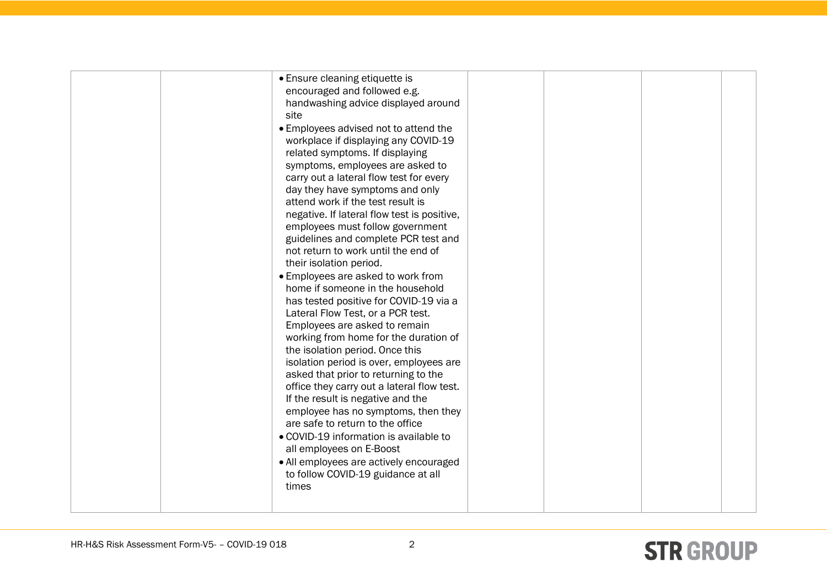| • Ensure cleaning etiquette is<br>encouraged and followed e.g.<br>handwashing advice displayed around<br>site<br>• Employees advised not to attend the<br>workplace if displaying any COVID-19                                                                                                                                                                                                                                                                                                                                                                                                                                                                  |  |  |
|-----------------------------------------------------------------------------------------------------------------------------------------------------------------------------------------------------------------------------------------------------------------------------------------------------------------------------------------------------------------------------------------------------------------------------------------------------------------------------------------------------------------------------------------------------------------------------------------------------------------------------------------------------------------|--|--|
| related symptoms. If displaying<br>symptoms, employees are asked to<br>carry out a lateral flow test for every<br>day they have symptoms and only<br>attend work if the test result is<br>negative. If lateral flow test is positive,<br>employees must follow government<br>guidelines and complete PCR test and<br>not return to work until the end of                                                                                                                                                                                                                                                                                                        |  |  |
| their isolation period.<br>• Employees are asked to work from<br>home if someone in the household<br>has tested positive for COVID-19 via a<br>Lateral Flow Test, or a PCR test.<br>Employees are asked to remain<br>working from home for the duration of<br>the isolation period. Once this<br>isolation period is over, employees are<br>asked that prior to returning to the<br>office they carry out a lateral flow test.<br>If the result is negative and the<br>employee has no symptoms, then they<br>are safe to return to the office<br>• COVID-19 information is available to<br>all employees on E-Boost<br>• All employees are actively encouraged |  |  |
| to follow COVID-19 guidance at all<br>times                                                                                                                                                                                                                                                                                                                                                                                                                                                                                                                                                                                                                     |  |  |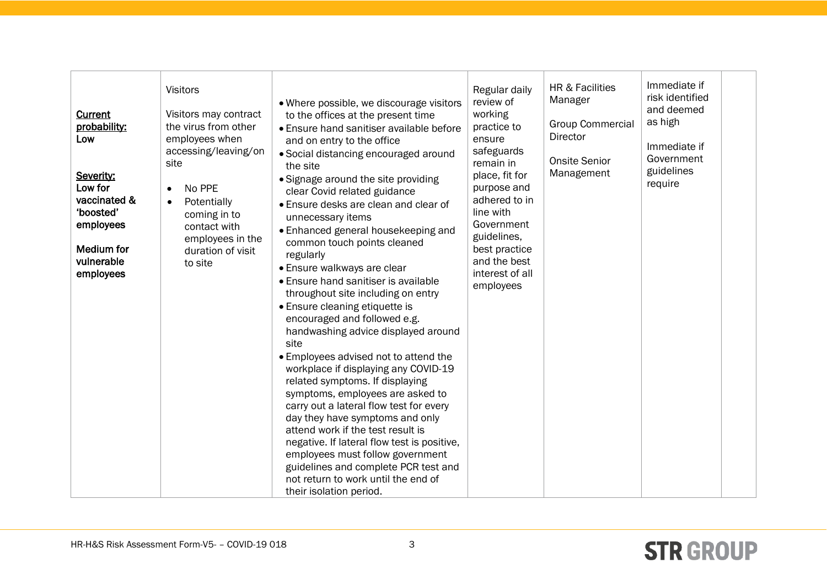| Current<br>probability:<br>Low<br>Severity:<br>Low for<br>vaccinated &<br>'boosted'<br>employees<br>Medium for<br>vulnerable<br>employees | <b>Visitors</b><br>Visitors may contract<br>the virus from other<br>employees when<br>accessing/leaving/on<br>site<br>No PPE<br>$\bullet$<br>Potentially<br>$\bullet$<br>coming in to<br>contact with<br>employees in the<br>duration of visit<br>to site | • Where possible, we discourage visitors<br>to the offices at the present time<br>• Ensure hand sanitiser available before<br>and on entry to the office<br>• Social distancing encouraged around<br>the site<br>• Signage around the site providing<br>clear Covid related guidance<br>• Ensure desks are clean and clear of<br>unnecessary items<br>• Enhanced general housekeeping and<br>common touch points cleaned<br>regularly<br>• Ensure walkways are clear<br>• Ensure hand sanitiser is available<br>throughout site including on entry<br>• Ensure cleaning etiquette is<br>encouraged and followed e.g.<br>handwashing advice displayed around<br>site<br>• Employees advised not to attend the<br>workplace if displaying any COVID-19<br>related symptoms. If displaying<br>symptoms, employees are asked to<br>carry out a lateral flow test for every<br>day they have symptoms and only<br>attend work if the test result is<br>negative. If lateral flow test is positive,<br>employees must follow government<br>guidelines and complete PCR test and<br>not return to work until the end of<br>their isolation period. | Regular daily<br>review of<br>working<br>practice to<br>ensure<br>safeguards<br>remain in<br>place, fit for<br>purpose and<br>adhered to in<br>line with<br>Government<br>guidelines,<br>best practice<br>and the best<br>interest of all<br>employees | HR & Facilities<br>Manager<br><b>Group Commercial</b><br><b>Director</b><br><b>Onsite Senior</b><br>Management | Immediate if<br>risk identified<br>and deemed<br>as high<br>Immediate if<br>Government<br>guidelines<br>require |  |
|-------------------------------------------------------------------------------------------------------------------------------------------|-----------------------------------------------------------------------------------------------------------------------------------------------------------------------------------------------------------------------------------------------------------|---------------------------------------------------------------------------------------------------------------------------------------------------------------------------------------------------------------------------------------------------------------------------------------------------------------------------------------------------------------------------------------------------------------------------------------------------------------------------------------------------------------------------------------------------------------------------------------------------------------------------------------------------------------------------------------------------------------------------------------------------------------------------------------------------------------------------------------------------------------------------------------------------------------------------------------------------------------------------------------------------------------------------------------------------------------------------------------------------------------------------------------------|--------------------------------------------------------------------------------------------------------------------------------------------------------------------------------------------------------------------------------------------------------|----------------------------------------------------------------------------------------------------------------|-----------------------------------------------------------------------------------------------------------------|--|
|-------------------------------------------------------------------------------------------------------------------------------------------|-----------------------------------------------------------------------------------------------------------------------------------------------------------------------------------------------------------------------------------------------------------|---------------------------------------------------------------------------------------------------------------------------------------------------------------------------------------------------------------------------------------------------------------------------------------------------------------------------------------------------------------------------------------------------------------------------------------------------------------------------------------------------------------------------------------------------------------------------------------------------------------------------------------------------------------------------------------------------------------------------------------------------------------------------------------------------------------------------------------------------------------------------------------------------------------------------------------------------------------------------------------------------------------------------------------------------------------------------------------------------------------------------------------------|--------------------------------------------------------------------------------------------------------------------------------------------------------------------------------------------------------------------------------------------------------|----------------------------------------------------------------------------------------------------------------|-----------------------------------------------------------------------------------------------------------------|--|